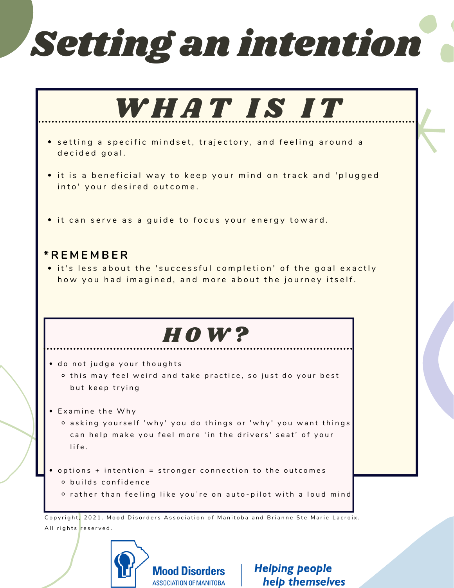# Setting an intention



**Mood Disorders ASSOCIATION OF MANITOBA** 

**Helping people** help themselves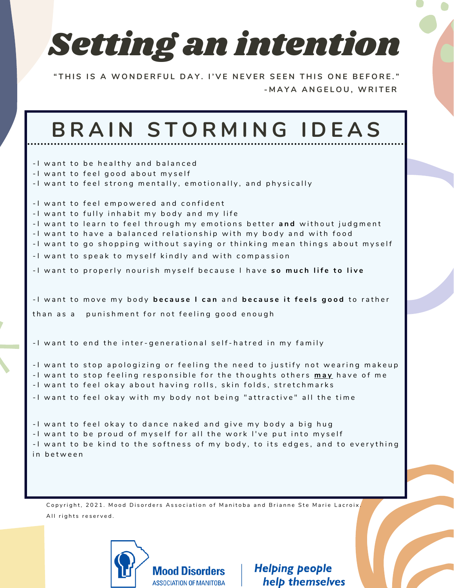

"THIS IS A WONDERFUL DAY. I'VE NEVER SEEN THIS ONE BEFORE." **- M A Y A A N G E L O U , W R I T E R**

| BRAIN STORMING IDEAS                                                                                                                                                                                                                                                                                                                                                             |
|----------------------------------------------------------------------------------------------------------------------------------------------------------------------------------------------------------------------------------------------------------------------------------------------------------------------------------------------------------------------------------|
| -I want to be healthy and balanced<br>-I want to feel good about myself<br>-I want to feel strong mentally, emotionally, and physically                                                                                                                                                                                                                                          |
| -I want to feel empowered and confident<br>-I want to fully inhabit my body and my life<br>-I want to learn to feel through my emotions better and without judgment<br>-I want to have a balanced relationship with my body and with food<br>-I want to go shopping without saying or thinking mean things about myself<br>-I want to speak to myself kindly and with compassion |
| -I want to properly nourish myself because I have so much life to live<br>-I want to move my body because I can and because it feels good to rather                                                                                                                                                                                                                              |
| punishment for not feeling good enough<br>than as a                                                                                                                                                                                                                                                                                                                              |
| -I want to end the inter-generational self-hatred in my family                                                                                                                                                                                                                                                                                                                   |
| -I want to stop apologizing or feeling the need to justify not wearing makeup<br>-I want to stop feeling responsible for the thoughts others may have of me<br>-I want to feel okay about having rolls, skin folds, stretchmarks<br>-I want to feel okay with my body not being "attractive" all the time                                                                        |
| -I want to feel okay to dance naked and give my body a big hug<br>-I want to be proud of myself for all the work I've put into myself<br>-I want to be kind to the softness of my body, to its edges, and to everything<br>in between                                                                                                                                            |

Copyright, 2021. Mood Disorders Association of Manitoba and Brianne Ste Marie Lacroix, All rights reserved.



**Helping people** help themselves